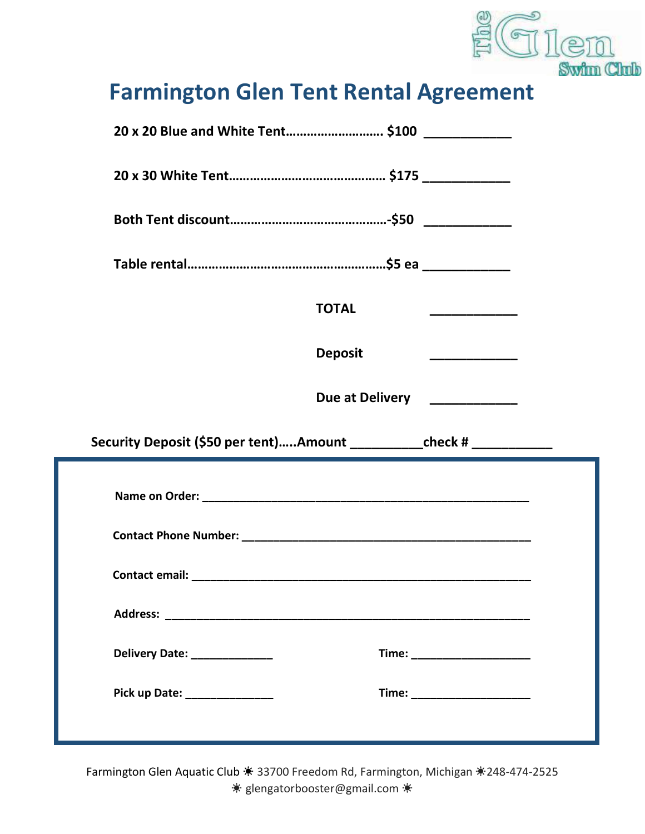

## Farmington Glen Tent Rental Agreement

| 20 x 20 Blue and White Tent \$100 ____________                               |                                       |
|------------------------------------------------------------------------------|---------------------------------------|
|                                                                              |                                       |
|                                                                              |                                       |
|                                                                              |                                       |
| <b>TOTAL</b>                                                                 |                                       |
| <b>Deposit</b>                                                               | <u> 1980 - Johann Barbara, martxa</u> |
| Due at Delivery ___________                                                  |                                       |
|                                                                              |                                       |
| Security Deposit (\$50 per tent)Amount ______________check # _______________ |                                       |
|                                                                              |                                       |
|                                                                              |                                       |
|                                                                              |                                       |
|                                                                              |                                       |
| Delivery Date: _______________                                               |                                       |
| Pick up Date: _______________                                                | Time: ________________________        |

Farmington Glen Aquatic Club ☀ 33700 Freedom Rd, Farmington, Michigan ☀248-474-2525 ☀ glengatorbooster@gmail.com ☀